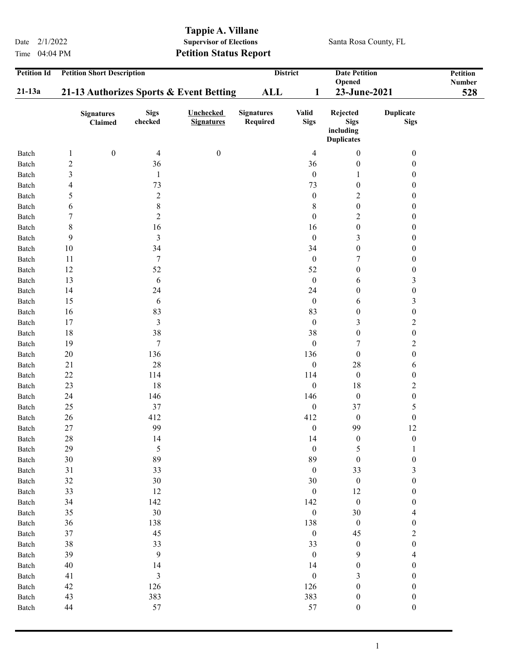Time 04:04 PM **Petition Status Report** 

## Tappie A. Villane<br>Supervisor of Elections Date  $2/1/2022$  Supervisor of Elections Santa Rosa County, FL

| <b>Petition Id</b> | <b>Petition Short Description</b>       |                        |                                       | <b>District</b><br><b>Date Petition</b> |                             |                                                           | <b>Petition</b>                 |               |
|--------------------|-----------------------------------------|------------------------|---------------------------------------|-----------------------------------------|-----------------------------|-----------------------------------------------------------|---------------------------------|---------------|
|                    |                                         |                        |                                       |                                         |                             | Opened                                                    |                                 | <b>Number</b> |
| $21-13a$           | 21-13 Authorizes Sports & Event Betting |                        |                                       | <b>ALL</b>                              | 1                           | 23-June-2021                                              |                                 | 528           |
|                    | <b>Signatures</b><br>Claimed            | <b>Sigs</b><br>checked | <b>Unchecked</b><br><b>Signatures</b> | <b>Signatures</b><br>Required           | <b>Valid</b><br><b>Sigs</b> | Rejected<br><b>Sigs</b><br>including<br><b>Duplicates</b> | <b>Duplicate</b><br><b>Sigs</b> |               |
| Batch              | $\boldsymbol{0}$<br>$\mathbf{1}$        | 4                      | $\boldsymbol{0}$                      |                                         | 4                           | $\boldsymbol{0}$                                          | $\boldsymbol{0}$                |               |
| Batch              | $\boldsymbol{2}$                        | 36                     |                                       |                                         | 36                          | $\boldsymbol{0}$                                          | 0                               |               |
| Batch              | 3                                       | $\mathbf{1}$           |                                       |                                         | $\boldsymbol{0}$            | 1                                                         | 0                               |               |
| Batch              | 4                                       | 73                     |                                       |                                         | 73                          | $\boldsymbol{0}$                                          | $\boldsymbol{0}$                |               |
| Batch              | 5                                       | $\overline{2}$         |                                       |                                         | $\boldsymbol{0}$            | $\overline{c}$                                            | 0                               |               |
| Batch              | 6                                       | $\,8$                  |                                       |                                         | 8                           | $\boldsymbol{0}$                                          | $\boldsymbol{0}$                |               |
| Batch              | 7                                       | $\overline{2}$         |                                       |                                         | $\boldsymbol{0}$            | $\boldsymbol{2}$                                          | $\boldsymbol{0}$                |               |
| Batch              | 8                                       | 16                     |                                       |                                         | 16                          | $\boldsymbol{0}$                                          | 0                               |               |
| Batch              | 9                                       | 3                      |                                       |                                         | $\boldsymbol{0}$            | 3                                                         | $\boldsymbol{0}$                |               |
| Batch              | 10                                      | 34                     |                                       |                                         | 34                          | $\boldsymbol{0}$                                          | 0                               |               |
| Batch              | 11                                      | $\boldsymbol{7}$       |                                       |                                         | $\boldsymbol{0}$            | 7                                                         | 0                               |               |
| Batch              | 12                                      | 52                     |                                       |                                         | 52                          | $\boldsymbol{0}$                                          | $\boldsymbol{0}$                |               |
| Batch              | 13                                      | 6                      |                                       |                                         | $\boldsymbol{0}$            | 6                                                         | 3                               |               |
| Batch              | 14                                      | 24                     |                                       |                                         | 24                          | $\boldsymbol{0}$                                          | $\boldsymbol{0}$                |               |
| Batch              | 15                                      | 6                      |                                       |                                         | $\boldsymbol{0}$            | 6                                                         | 3                               |               |
| Batch              | 16                                      | 83                     |                                       |                                         | 83                          | $\boldsymbol{0}$                                          | $\boldsymbol{0}$                |               |
| Batch              | 17                                      | $\mathfrak{Z}$         |                                       |                                         | $\boldsymbol{0}$            | 3                                                         | $\overline{c}$                  |               |
| Batch              | 18                                      | 38                     |                                       |                                         | 38                          | $\boldsymbol{0}$                                          | $\boldsymbol{0}$                |               |
| Batch              | 19                                      | 7                      |                                       |                                         | $\boldsymbol{0}$            | 7                                                         | $\overline{c}$                  |               |
| Batch              | 20                                      | 136                    |                                       |                                         | 136                         | $\boldsymbol{0}$                                          | $\boldsymbol{0}$                |               |
| Batch              | 21                                      | 28                     |                                       |                                         | $\boldsymbol{0}$            | 28                                                        | 6                               |               |
| Batch              | $22\,$                                  | 114                    |                                       |                                         | 114                         | $\boldsymbol{0}$                                          | $\boldsymbol{0}$                |               |
| Batch              | 23                                      | 18                     |                                       |                                         | $\boldsymbol{0}$            | 18                                                        | $\overline{c}$                  |               |
| Batch              | 24                                      | 146                    |                                       |                                         | 146                         | $\boldsymbol{0}$                                          | $\boldsymbol{0}$                |               |
| Batch              | 25                                      | 37                     |                                       |                                         | $\boldsymbol{0}$            | 37                                                        | 5                               |               |
| Batch              | 26                                      | 412                    |                                       |                                         | 412                         | $\boldsymbol{0}$                                          | $\boldsymbol{0}$                |               |
| Batch              | 27                                      | 99                     |                                       |                                         | $\boldsymbol{0}$            | 99                                                        | 12                              |               |
| Batch              | 28                                      | 14                     |                                       |                                         | 14                          | $\boldsymbol{0}$                                          | $\boldsymbol{0}$                |               |
| Batch              | 29                                      | 5                      |                                       |                                         | $\boldsymbol{0}$            | 5                                                         | 1                               |               |
| Batch              | 30                                      | 89                     |                                       |                                         | 89                          | $\boldsymbol{0}$                                          | $\boldsymbol{0}$                |               |
| Batch              | 31                                      | 33                     |                                       |                                         | $\boldsymbol{0}$            | 33                                                        | 3                               |               |
| Batch              | 32                                      | $30\,$                 |                                       |                                         | 30                          | $\boldsymbol{0}$                                          | $\boldsymbol{0}$                |               |
| Batch              | 33                                      | 12                     |                                       |                                         | $\boldsymbol{0}$            | 12                                                        | $\boldsymbol{0}$                |               |
| Batch              | 34                                      | 142                    |                                       |                                         | 142                         | $\boldsymbol{0}$                                          | $\boldsymbol{0}$                |               |
| Batch              | 35                                      | 30                     |                                       |                                         | $\boldsymbol{0}$            | $30\,$                                                    | $\overline{4}$                  |               |
| Batch              | 36                                      | 138                    |                                       |                                         | 138                         | $\boldsymbol{0}$                                          | $\boldsymbol{0}$                |               |
| Batch              | 37                                      | 45                     |                                       |                                         | $\boldsymbol{0}$            | 45                                                        | $\overline{c}$                  |               |
| Batch              | 38                                      | 33                     |                                       |                                         | 33                          | $\boldsymbol{0}$                                          | $\boldsymbol{0}$                |               |
| Batch              | 39                                      | 9                      |                                       |                                         | $\boldsymbol{0}$            | 9                                                         | 4                               |               |
| Batch              | 40                                      | 14                     |                                       |                                         | 14                          | $\boldsymbol{0}$                                          | 0                               |               |
| Batch              | 41                                      | $\mathfrak{Z}$         |                                       |                                         | $\boldsymbol{0}$            | 3                                                         | 0                               |               |
| Batch              | 42                                      | 126                    |                                       |                                         | 126                         | $\boldsymbol{0}$                                          | 0                               |               |
| Batch              | 43                                      | 383                    |                                       |                                         | 383                         | $\boldsymbol{0}$                                          | $\boldsymbol{0}$                |               |
| Batch              | 44                                      | 57                     |                                       |                                         | 57                          | $\boldsymbol{0}$                                          | $\boldsymbol{0}$                |               |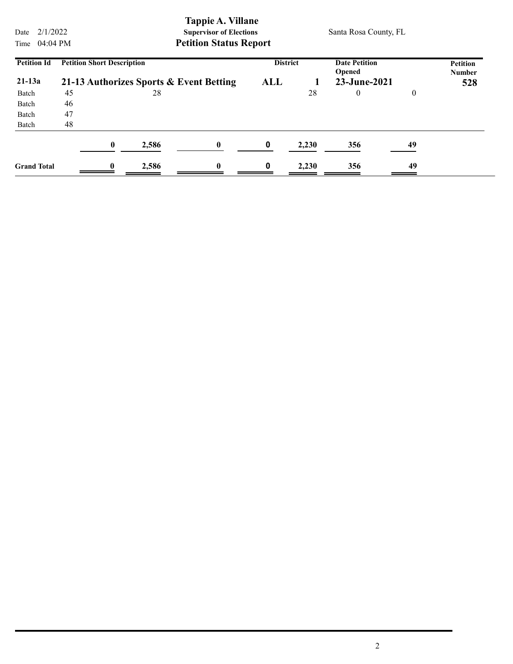Date  $2/1/2022$  Supervisor of Elections Santa Rosa County, FL Time 04:04 PM Petition Status Report Petition Short Description District Date Petition Opened Petition Number **District** 21-13a 21-13 Authorizes Sports & Event Betting ALL 1 23-June-2021 528<br>Batch 45 28 28 0 0 Petition Id Batch 45 28 28 0 0 Batch 46 Batch 47 Batch 48  $0$  2,586  $0$  0 2,230 356 49 Grand Total 0 2,586 0 0 2,230 356 49

Tappie A. Villane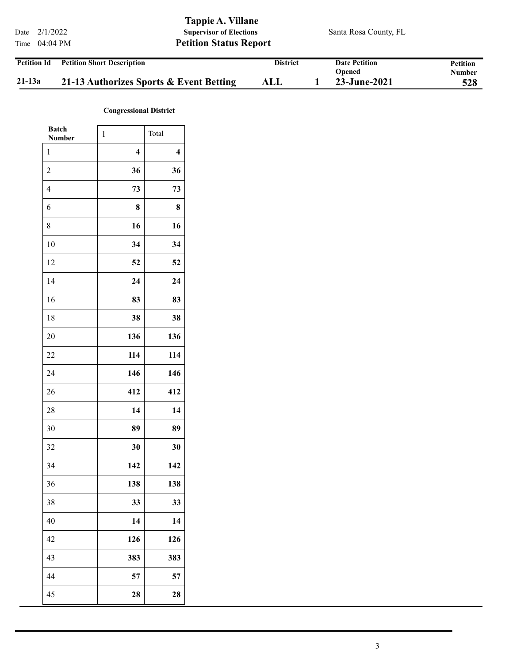|                    |                                   | Tappie A. Villane              |                       |          |
|--------------------|-----------------------------------|--------------------------------|-----------------------|----------|
|                    | Date $2/1/2022$                   | <b>Supervisor of Elections</b> | Santa Rosa County, FL |          |
|                    | Time $04:04 \text{ PM}$           | <b>Petition Status Report</b>  |                       |          |
| <b>Petition Id</b> | <b>Petition Short Description</b> | <b>District</b>                | <b>Date Petition</b>  | Petition |

|          |                                         |     | Opened       | Number |
|----------|-----------------------------------------|-----|--------------|--------|
| $21-13a$ | 21-13 Authorizes Sports & Event Betting | ALL | 23-June-2021 | 528    |

## Congressional District

| <b>Batch</b><br><b>Number</b> | $\mathbf{1}$            | Total                   |
|-------------------------------|-------------------------|-------------------------|
| 1                             | $\overline{\mathbf{4}}$ | $\overline{\mathbf{4}}$ |
| $\overline{c}$                | 36                      | 36                      |
| $\overline{\mathbf{4}}$       | 73                      | 73                      |
| 6                             | 8                       | 8                       |
| 8                             | 16                      | 16                      |
| 10                            | 34                      | 34                      |
| 12                            | 52                      | 52                      |
| 14                            | 24                      | 24                      |
| 16                            | 83                      | 83                      |
| 18                            | 38                      | 38                      |
| 20                            | 136                     | 136                     |
| 22                            | 114                     | 114                     |
| 24                            | 146                     | 146                     |
| 26                            | 412                     | 412                     |
| 28                            | 14                      | 14                      |
| 30                            | 89                      | 89                      |
| 32                            | 30                      | 30                      |
| 34                            | 142                     | 142                     |
| 36                            | 138                     | 138                     |
| 38                            | 33                      | 33                      |
| 40                            | 14                      | 14                      |
| 42                            | 126                     | 126                     |
| 43                            | 383                     | 383                     |
| 44                            | 57                      | 57                      |
| 45                            | 28                      | 28                      |